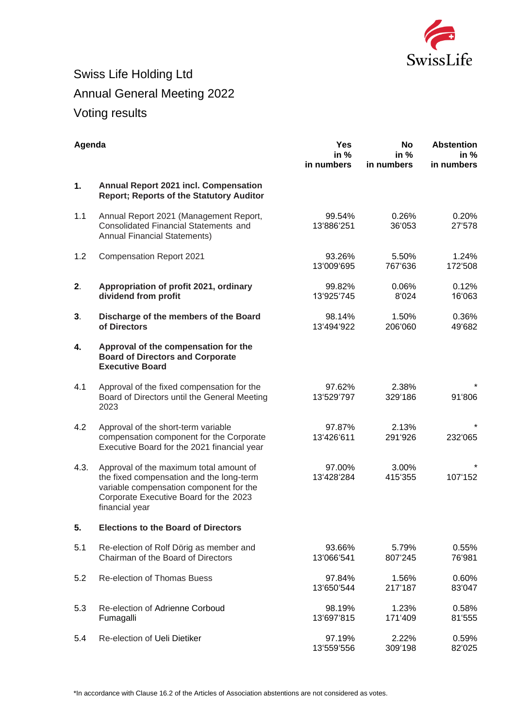

## Swiss Life Holding Ltd Annual General Meeting 2022 Voting results

| Agenda |                                                                                                                                                                                            | <b>Yes</b><br>in $%$<br>in numbers | <b>No</b><br>in $%$<br>in numbers | <b>Abstention</b><br>in %<br>in numbers |
|--------|--------------------------------------------------------------------------------------------------------------------------------------------------------------------------------------------|------------------------------------|-----------------------------------|-----------------------------------------|
| 1.     | <b>Annual Report 2021 incl. Compensation</b><br><b>Report: Reports of the Statutory Auditor</b>                                                                                            |                                    |                                   |                                         |
| 1.1    | Annual Report 2021 (Management Report,<br><b>Consolidated Financial Statements and</b><br><b>Annual Financial Statements)</b>                                                              | 99.54%<br>13'886'251               | 0.26%<br>36'053                   | 0.20%<br>27'578                         |
| 1.2    | <b>Compensation Report 2021</b>                                                                                                                                                            | 93.26%<br>13'009'695               | 5.50%<br>767'636                  | 1.24%<br>172'508                        |
| 2.     | Appropriation of profit 2021, ordinary<br>dividend from profit                                                                                                                             | 99.82%<br>13'925'745               | 0.06%<br>8'024                    | 0.12%<br>16'063                         |
| 3.     | Discharge of the members of the Board<br>of Directors                                                                                                                                      | 98.14%<br>13'494'922               | 1.50%<br>206'060                  | 0.36%<br>49'682                         |
| 4.     | Approval of the compensation for the<br><b>Board of Directors and Corporate</b><br><b>Executive Board</b>                                                                                  |                                    |                                   |                                         |
| 4.1    | Approval of the fixed compensation for the<br>Board of Directors until the General Meeting<br>2023                                                                                         | 97.62%<br>13'529'797               | 2.38%<br>329'186                  | 91'806                                  |
| 4.2    | Approval of the short-term variable<br>compensation component for the Corporate<br>Executive Board for the 2021 financial year                                                             | 97.87%<br>13'426'611               | 2.13%<br>291'926                  | 232'065                                 |
| 4.3.   | Approval of the maximum total amount of<br>the fixed compensation and the long-term<br>variable compensation component for the<br>Corporate Executive Board for the 2023<br>financial year | 97.00%<br>13'428'284               | 3.00%<br>415'355                  | 107'152                                 |
| 5.     | <b>Elections to the Board of Directors</b>                                                                                                                                                 |                                    |                                   |                                         |
| 5.1    | Re-election of Rolf Dörig as member and<br>Chairman of the Board of Directors                                                                                                              | 93.66%<br>13'066'541               | 5.79%<br>807'245                  | 0.55%<br>76'981                         |
| 5.2    | <b>Re-election of Thomas Buess</b>                                                                                                                                                         | 97.84%<br>13'650'544               | 1.56%<br>217'187                  | 0.60%<br>83'047                         |
| 5.3    | Re-election of Adrienne Corboud<br>Fumagalli                                                                                                                                               | 98.19%<br>13'697'815               | 1.23%<br>171'409                  | 0.58%<br>81'555                         |
| 5.4    | Re-election of Ueli Dietiker                                                                                                                                                               | 97.19%<br>13'559'556               | 2.22%<br>309'198                  | 0.59%<br>82'025                         |

\*In accordance with Clause 16.2 of the Articles of Association abstentions are not considered as votes.